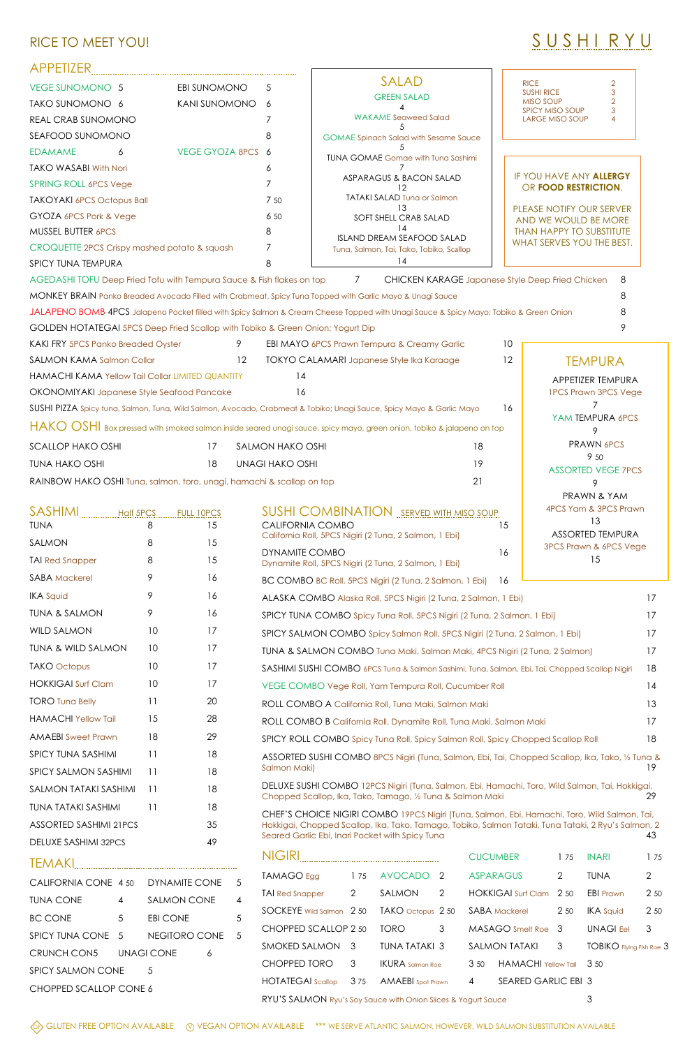## RICE TO MEET YOU! SOURCE TO MEET YOU!

## APPETIZER

| SPICY TUNA SASHIMI               | -11  | 18 |
|----------------------------------|------|----|
| SPICY SAI MON SASHIMI            | - 11 | 18 |
| SAI MON TATAKI SASHIMI           | - 11 | 18 |
| TUNA TATAKI SASHIMI<br>$\sim$ 11 |      | 18 |
| <b>ASSORTED SASHIMI 21PCS</b>    |      | 35 |
| DELUXE SASHIMI 32PCS             |      | 49 |
| TEMAKI                           |      |    |
|                                  |      |    |

| CALIFORNIA CONE 4 50 DYNAMITE CONE |                |               |   | 5  |
|------------------------------------|----------------|---------------|---|----|
| TUNA CONF                          | 4              | SAI MON CONE  |   | 4  |
| <b>BC CONE</b>                     | $\overline{5}$ | EBI CONE      |   | 5  |
| SPICY TUNA CONE 5                  |                | NEGITORO CONE |   | .5 |
| CRUNCH CON5 UNAGI CONE             |                |               | 6 |    |
| <b>SPICY SALMON CONE</b>           |                | .5            |   |    |
| CHOPPED SCALLOP CONE 6             |                |               |   |    |

| APPEILER                                                                       |                 |                   |                         |                                                                                                                                       |    |                                                            |    |
|--------------------------------------------------------------------------------|-----------------|-------------------|-------------------------|---------------------------------------------------------------------------------------------------------------------------------------|----|------------------------------------------------------------|----|
| <b>VEGE SUNOMONO 5</b>                                                         |                 | EBI SUNOMONO      | 5                       | <b>SALAD</b>                                                                                                                          |    | <b>RICE</b><br>2<br>3<br><b>SUSHI RICE</b>                 |    |
| TAKO SUNOMONO 6                                                                |                 | KANI SUNOMONO     | 6                       | <b>GREEN SALAD</b>                                                                                                                    |    | $\overline{2}$<br><b>MISO SOUP</b><br>SPICY MISO SOUP<br>3 |    |
| REAL CRAB SUNOMONO                                                             |                 |                   |                         | <b>WAKAME</b> Seaweed Salad                                                                                                           |    | <b>LARGE MISO SOUP</b><br>4                                |    |
| SEAFOOD SUNOMONO                                                               |                 |                   | 8                       | <b>GOMAE Spinach Salad with Sesame Sauce</b>                                                                                          |    |                                                            |    |
| <b>EDAMAME</b><br>6                                                            |                 | VEGE GYOZA 8PCS   | 6                       | <b>TUNA GOMAE Gomae with Tuna Sashimi</b>                                                                                             |    |                                                            |    |
| <b>TAKO WASABI With Nori</b>                                                   |                 |                   | 6                       | ASPARAGUS & BACON SALAD                                                                                                               |    | IF YOU HAVE ANY ALLERGY                                    |    |
| <b>SPRING ROLL 6PCS Vege</b>                                                   |                 |                   |                         |                                                                                                                                       |    | OR FOOD RESTRICTION,                                       |    |
| <b>TAKOYAKI 6PCS Octopus Ball</b>                                              |                 |                   | 7 50                    | <b>TATAKI SALAD Tuna or Salmon</b>                                                                                                    |    | PLEASE NOTIFY OUR SERVER                                   |    |
| GYOZA 6PCS Pork & Vege                                                         |                 |                   | 6 50                    | SOFT SHELL CRAB SALAD                                                                                                                 |    | AND WE WOULD BE MORE                                       |    |
| MUSSEL BUTTER 6PCS                                                             |                 |                   | 8                       | 14<br>ISLAND DREAM SEAFOOD SALAD                                                                                                      |    | <b>THAN HAPPY TO SUBSTITUTE</b>                            |    |
| CROQUETTE 2PCS Crispy mashed potato & squash                                   |                 |                   | 7                       | Tuna, Salmon, Tai, Tako, Tobiko, Scallop                                                                                              |    | WHAT SERVES YOU THE BEST.                                  |    |
| SPICY TUNA TEMPURA                                                             |                 |                   | 8                       | 14                                                                                                                                    |    |                                                            |    |
| AGEDASHI TOFU Deep Fried Tofu with Tempura Sauce & Fish flakes on top          |                 |                   |                         | $7\overline{ }$<br><b>CHICKEN KARAGE Japanese Style Deep Fried Chicken</b>                                                            |    | 8                                                          |    |
|                                                                                |                 |                   |                         | MONKEY BRAIN Panko Breaded Avocado Filled with Crabmeat, Spicy Tuna Topped with Garlic Mayo & Unagi Sauce                             |    | 8                                                          |    |
|                                                                                |                 |                   |                         | JALAPENO BOMB 4PCS Jalapeno Pocket filled with Spicy Salmon & Cream Cheese Topped with Unagi Sauce & Spicy Mayo; Tobiko & Green Onion |    |                                                            |    |
| GOLDEN HOTATEGAI 5PCS Deep Fried Scallop with Tobiko & Green Onion; Yogurt Dip |                 |                   |                         |                                                                                                                                       |    |                                                            |    |
| <b>KAKI FRY 5PCS Panko Breaded Oyster</b>                                      |                 | 9                 |                         | EBI MAYO 6PCS Prawn Tempura & Creamy Garlic                                                                                           | 10 |                                                            |    |
| <b>SALMON KAMA Salmon Collar</b>                                               |                 | 12                |                         | TOKYO CALAMARI Japanese Style Ika Karaage                                                                                             | 12 | <b>TEMPURA</b>                                             |    |
| HAMACHI KAMA Yellow Tail Collar LIMITED QUANTITY                               |                 |                   | 14                      |                                                                                                                                       |    | APPETIZER TEMPURA                                          |    |
| OKONOMIYAKI Japanese Style Seafood Pancake                                     |                 |                   | 16                      |                                                                                                                                       |    | <b>IPCS Prawn 3PCS Vege</b>                                |    |
|                                                                                |                 |                   |                         | SUSHI PIZZA Spicy tuna, Salmon, Tuna, Wild Salmon, Avocado, Crabmeat & Tobiko; Unagi Sauce, Spicy Mayo & Garlic Mayo                  | 16 | YAM TEMPURA 6PCS                                           |    |
|                                                                                |                 |                   |                         | HAKO OSHI Box pressed with smoked salmon inside seared unagi sauce, spicy mayo, green onion, tobiko & jalapeno on top                 |    | 9                                                          |    |
| <b>SCALLOP HAKO OSHI</b>                                                       |                 | 17                | SALMON HAKO OSHI        | 18                                                                                                                                    |    | <b>PRAWN 6PCS</b>                                          |    |
| <b>TUNA HAKO OSHI</b>                                                          |                 | 18                | <b>UNAGI HAKO OSHI</b>  | 19                                                                                                                                    |    | 9 50<br><b>ASSORTED VEGE 7PCS</b>                          |    |
| RAINBOW HAKO OSHI Tuna, salmon, toro, unagi, hamachi & scallop on top          |                 |                   |                         | 21                                                                                                                                    |    | 9                                                          |    |
|                                                                                |                 |                   |                         |                                                                                                                                       |    | PRAWN & YAM                                                |    |
| <b>SASHIMI</b><br><b>Half 5PCS</b>                                             |                 | <b>FULL 10PCS</b> |                         | <b>SUSHI COMBINATION</b> SERVED WITH MISO SOUP                                                                                        |    | 4PCS Yam & 3PCS Prawn                                      |    |
| <b>TUNA</b>                                                                    | 8               | 15                | <b>CALIFORNIA COMBO</b> | California Roll, 5PCS Nigiri (2 Tuna, 2 Salmon, 1 Ebi)                                                                                | 15 | 13<br><b>ASSORTED TEMPURA</b>                              |    |
| SALMON                                                                         | 8               | 15                |                         |                                                                                                                                       |    | 3PCS Prawn & 6PCS Vege                                     |    |
| <b>TAI Red Snapper</b>                                                         | 8               | 15                | <b>DYNAMITE COMBO</b>   | Dynamite Roll, 5PCS Nigiri (2 Tuna, 2 Salmon, 1 Ebi)                                                                                  | 16 | 15                                                         |    |
| <b>SABA Mackerel</b>                                                           | 9               | 16                |                         | BC COMBO BC Roll, 5PCS Nigiri (2 Tuna, 2 Salmon, 1 Ebi)                                                                               | 16 |                                                            |    |
| <b>IKA Squid</b>                                                               | 9               | 16                |                         | ALASKA COMBO Alaska Roll, 5PCS Nigiri (2 Tuna, 2 Salmon, 1 Ebi)                                                                       |    |                                                            | 17 |
| <b>TUNA &amp; SALMON</b>                                                       | 9               | 16                |                         | SPICY TUNA COMBO Spicy Tuna Roll, 5PCS Nigiri (2 Tuna, 2 Salmon, 1 Ebi)                                                               |    |                                                            | 17 |
| <b>WILD SALMON</b>                                                             | 10 <sup>°</sup> | 17                |                         | SPICY SALMON COMBO Spicy Salmon Roll, 5PCS Nigiri (2 Tuna, 2 Salmon, 1 Ebi)                                                           |    |                                                            | 17 |
| <b>TUNA &amp; WILD SALMON</b>                                                  | 10 <sup>°</sup> | 17                |                         | TUNA & SALMON COMBO Tuna Maki, Salmon Maki, 4PCS Nigiri (2 Tuna, 2 Salmon)                                                            |    |                                                            | 17 |
| <b>TAKO Octopus</b>                                                            | 10              | 17                |                         | SASHIMI SUSHI COMBO 6PCS Tuna & Salmon Sashimi, Tuna, Salmon, Ebi, Tai, Chopped Scallop Nigiri                                        |    |                                                            | 18 |
| <b>HOKKIGAI Surf Clam</b>                                                      | 10              | 17                |                         | VEGE COMBO Vege Roll, Yam Tempura Roll, Cucumber Roll                                                                                 |    |                                                            | 14 |
| <b>TORO Tuna Belly</b>                                                         | 11              | 20                |                         | ROLL COMBO A California Roll, Tuna Maki, Salmon Maki                                                                                  |    |                                                            | 13 |
| <b>HAMACHI Yellow Tail</b>                                                     | 15              | 28                |                         | ROLL COMBO B California Roll, Dynamite Roll, Tuna Maki, Salmon Maki                                                                   |    |                                                            | 17 |

AMAFBI Sweet Prawn 18 29 SPICY ROLL COMBO Spicy Tuna Roll, Spicy Salmon Roll, Spicy Chopped Scallop Roll 18

| U TOT INDEE COMPO SPICY TUHU KUII, SPICY SUIHTUH KUII, SPICY CHOPPOU SCUIIOP KUII<br><b>U</b>                                                                                                                                                                |                |                          |               |                 |                            |                |                          |                |
|--------------------------------------------------------------------------------------------------------------------------------------------------------------------------------------------------------------------------------------------------------------|----------------|--------------------------|---------------|-----------------|----------------------------|----------------|--------------------------|----------------|
| ASSORTED SUSHI COMBO 8PCS Nigiri (Tuna, Salmon, Ebi, Tai, Chopped Scallop, Ika, Tako, 1/2 Tuna &<br>Salmon Maki)<br>19                                                                                                                                       |                |                          |               |                 |                            |                |                          |                |
| DELUXE SUSHI COMBO 12PCS Nigiri (Tuna, Salmon, Ebi, Hamachi, Toro, Wild Salmon, Tai, Hokkigai,<br>29<br>Chopped Scallop, Ika, Tako, Tamago, 1/2 Tuna & Salmon Maki                                                                                           |                |                          |               |                 |                            |                |                          |                |
| CHEF'S CHOICE NIGIRI COMBO 19PCS Nigiri (Tuna, Salmon, Ebi, Hamachi, Toro, Wild Salmon, Tai,<br>Hokkigai, Chopped Scallop, Ika, Tako, Tamago, Tobiko, Salmon Tataki, Tuna Tataki, 2 Ryu's Salmon, 2<br>Seared Garlic Ebi, Inari Pocket with Spicy Tuna<br>43 |                |                          |               |                 |                            |                |                          |                |
| NIGIRI                                                                                                                                                                                                                                                       |                |                          |               | <b>CUCUMBER</b> |                            | 175            | <b>INARI</b>             | 1 75           |
| TAMAGO Egg                                                                                                                                                                                                                                                   | 175            | <b>AVOCADO</b>           | $\mathcal{P}$ |                 | <b>ASPARAGUS</b>           | $\overline{2}$ | <b>TUNA</b>              | $\overline{2}$ |
| <b>TAI Red Snapper</b>                                                                                                                                                                                                                                       | $\overline{2}$ | SALMON                   | 2             |                 | <b>HOKKIGAI Surf Clam</b>  | 2 50           | <b>EBI Prawn</b>         | 2 50           |
| SOCKEYE Wild Salmon 2 50                                                                                                                                                                                                                                     |                | TAKO octopus 2 50        |               |                 | <b>SABA</b> Mackerel       | 2 50           | <b>IKA</b> Squid         | 2 50           |
| CHOPPED SCALLOP 2 50                                                                                                                                                                                                                                         |                | <b>TORO</b>              | 3             |                 | MASAGO Smelt Roe           | 3              | <b>UNAGI Eel</b>         | 3              |
| SMOKED SALMON                                                                                                                                                                                                                                                | 3              | <b>TUNA TATAKI 3</b>     |               |                 | <b>SALMON TATAKI</b>       | 3              | TOBIKO Flying Fish Roe 3 |                |
| <b>CHOPPED TORO</b>                                                                                                                                                                                                                                          | 3              | <b>IKURA</b> Salmon Roe  |               | 3 50            | <b>HAMACHI Yellow Tail</b> |                | 3 50                     |                |
| <b>HOTATEGAI</b> Scallop                                                                                                                                                                                                                                     | 375            | <b>AMAEBI</b> Spot Prawn |               | $\overline{4}$  | <b>SEARED GARLIC EBI 3</b> |                |                          |                |
| RYU'S SALMON Ryu's Soy Sauce with Onion Slices & Yogurt Sauce                                                                                                                                                                                                |                |                          |               |                 |                            |                | 3                        |                |
|                                                                                                                                                                                                                                                              |                |                          |               |                 |                            |                |                          |                |

◆G→ GLUTEN FREE OPTION AVAILABLE ○ VEGAN OPTION AVAILABLE \*\*\* WE SERVE ATLANTIC SALMON, HOWEVER, WILD SALMON SUBSTITUTION AVAILABLE